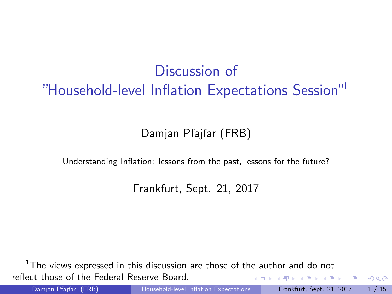# Discussion of "Household-level Inflation Expectations Session"<sup>1</sup>

### Damjan Pfajfar (FRB)

Understanding Inflation: lessons from the past, lessons for the future?

Frankfurt, Sept. 21, 2017

 $1$ The views expressed in this discussion are those of the author and do not reflect those of the Federal Reserve Board.  $\triangleright$   $\rightarrow$   $\exists$   $\rightarrow$ 

<span id="page-0-0"></span> $QQ$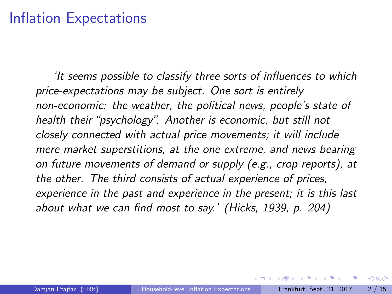### Inflation Expectations

<span id="page-1-0"></span>'It seems possible to classify three sorts of influences to which price-expectations may be subject. One sort is entirely non-economic: the weather, the political news, people's state of health their "psychology". Another is economic, but still not closely connected with actual price movements; it will include mere market superstitions, at the one extreme, and news bearing on future movements of demand or supply (e.g., crop reports), at the other. The third consists of actual experience of prices, experience in the past and experience in the present; it is this last about what we can find most to say.' (Hicks, 1939, p. 204)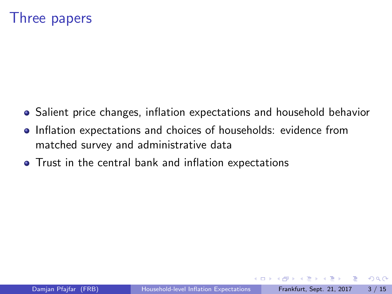### Three papers

- Salient price changes, inflation expectations and household behavior
- Inflation expectations and choices of households: evidence from matched survey and administrative data
- Trust in the central bank and inflation expectations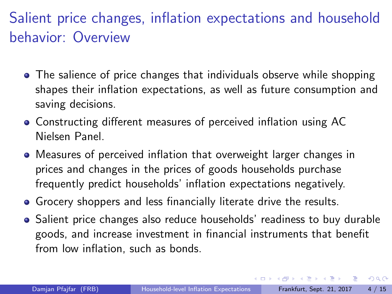# Salient price changes, inflation expectations and household behavior: Overview

- The salience of price changes that individuals observe while shopping shapes their inflation expectations, as well as future consumption and saving decisions.
- Constructing different measures of perceived inflation using AC Nielsen Panel.
- Measures of perceived inflation that overweight larger changes in prices and changes in the prices of goods households purchase frequently predict households' inflation expectations negatively.
- Grocery shoppers and less financially literate drive the results.
- Salient price changes also reduce households' readiness to buy durable goods, and increase investment in financial instruments that benefit from low inflation, such as bonds.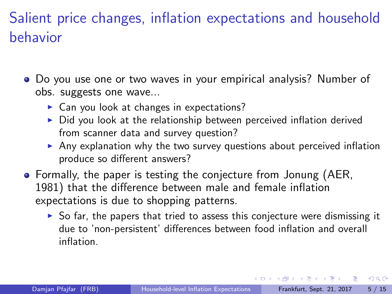# Salient price changes, inflation expectations and household behavior

- Do you use one or two waves in your empirical analysis? Number of obs. suggests one wave...
	- $\triangleright$  Can you look at changes in expectations?
	- $\triangleright$  Did you look at the relationship between perceived inflation derived from scanner data and survey question?
	- $\blacktriangleright$  Any explanation why the two survey questions about perceived inflation produce so different answers?
- Formally, the paper is testing the conjecture from Jonung (AER, 1981) that the difference between male and female inflation expectations is due to shopping patterns.
	- $\triangleright$  So far, the papers that tried to assess this conjecture were dismissing it due to 'non-persistent' differences between food inflation and overall inflation.

 $\Omega$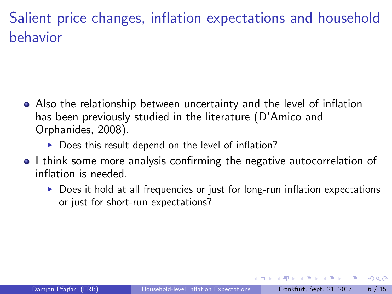# Salient price changes, inflation expectations and household behavior

- Also the relationship between uncertainty and the level of inflation has been previously studied in the literature (D'Amico and Orphanides, 2008).
	- $\triangleright$  Does this result depend on the level of inflation?
- I think some more analysis confirming the negative autocorrelation of inflation is needed.
	- $\triangleright$  Does it hold at all frequencies or just for long-run inflation expectations or just for short-run expectations?

 $QQ$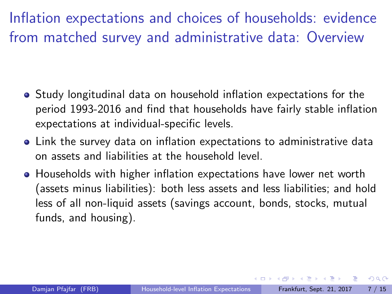Inflation expectations and choices of households: evidence from matched survey and administrative data: Overview

- Study longitudinal data on household inflation expectations for the period 1993-2016 and find that households have fairly stable inflation expectations at individual-specific levels.
- Link the survey data on inflation expectations to administrative data on assets and liabilities at the household level.
- **Households with higher inflation expectations have lower net worth** (assets minus liabilities): both less assets and less liabilities; and hold less of all non-liquid assets (savings account, bonds, stocks, mutual funds, and housing).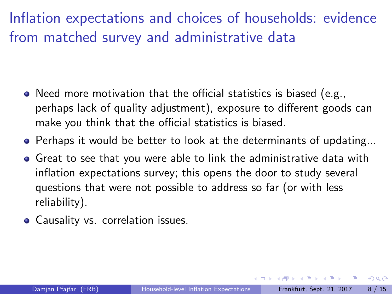# Inflation expectations and choices of households: evidence from matched survey and administrative data

- Need more motivation that the official statistics is biased (e.g., perhaps lack of quality adjustment), exposure to different goods can make you think that the official statistics is biased.
- Perhaps it would be better to look at the determinants of updating...
- Great to see that you were able to link the administrative data with inflation expectations survey; this opens the door to study several questions that were not possible to address so far (or with less reliability).
- Causality vs. correlation issues.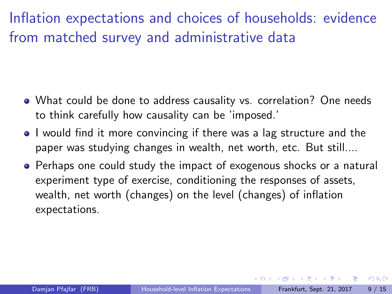Inflation expectations and choices of households: evidence from matched survey and administrative data

- What could be done to address causality vs. correlation? One needs to think carefully how causality can be 'imposed.'
- I would find it more convincing if there was a lag structure and the paper was studying changes in wealth, net worth, etc. But still....
- Perhaps one could study the impact of exogenous shocks or a natural experiment type of exercise, conditioning the responses of assets, wealth, net worth (changes) on the level (changes) of inflation expectations.

 $QQ$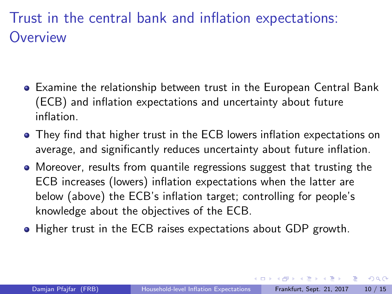# Trust in the central bank and inflation expectations: **Overview**

- Examine the relationship between trust in the European Central Bank (ECB) and inflation expectations and uncertainty about future inflation.
- They find that higher trust in the ECB lowers inflation expectations on average, and significantly reduces uncertainty about future inflation.
- Moreover, results from quantile regressions suggest that trusting the ECB increases (lowers) inflation expectations when the latter are below (above) the ECB's inflation target; controlling for people's knowledge about the objectives of the ECB.
- Higher trust in the ECB raises expectations about GDP growth.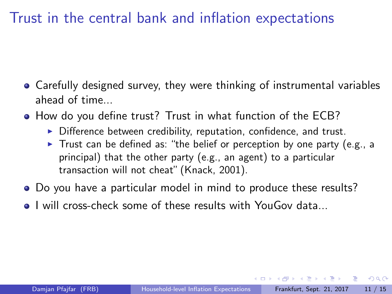## Trust in the central bank and inflation expectations

- Carefully designed survey, they were thinking of instrumental variables ahead of time...
- How do you define trust? Trust in what function of the ECB?
	- $\triangleright$  Difference between credibility, reputation, confidence, and trust.
	- $\triangleright$  Trust can be defined as: "the belief or perception by one party (e.g., a principal) that the other party (e.g., an agent) to a particular transaction will not cheat" (Knack, 2001).
- Do you have a particular model in mind to produce these results?
- **I** will cross-check some of these results with YouGov data

 $QQQ$ 

 $\lambda$  in the set of the set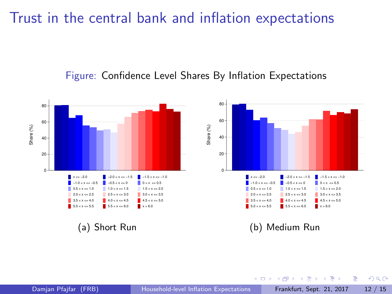### Trust in the central bank and inflation expectations





 $\left\{ \begin{array}{ccc} 1 & 0 & 0 \\ 0 & 1 & 0 \end{array} \right.$ 

<span id="page-11-0"></span> $QQ$ 

э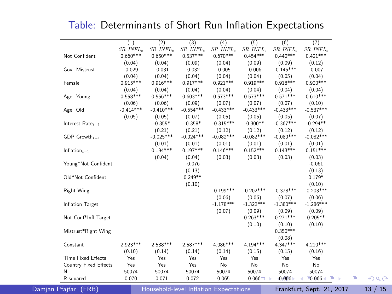|                           | (1)          | (2)          | (3)          | (4)          | (5)          | (6)          | (7)          |
|---------------------------|--------------|--------------|--------------|--------------|--------------|--------------|--------------|
|                           | $SR\_INFL_e$ | $SR\_INFL_e$ | $SR\_INFL_e$ | $SR\_INFL_e$ | $SR\_INFL_e$ | $SR\_INFL_e$ | $SR\_INFL_e$ |
| Not Confident             | $0.660***$   | $0.650***$   | $0.537***$   | $0.670***$   | $0.454***$   | $0.440***$   | $0.421***$   |
|                           | (0.04)       | (0.04)       | (0.09)       | (0.04)       | (0.09)       | (0.09)       | (0.12)       |
| Gov. Mistrust             | $-0.029$     | $-0.031$     | $-0.032$     | $-0.005$     | $-0.006$     | $-0.145***$  | $-0.007$     |
|                           | (0.04)       | (0.04)       | (0.04)       | (0.04)       | (0.04)       | (0.05)       | (0.04)       |
| Female                    | $0.915***$   | $0.916***$   | $0.917***$   | $0.921***$   | $0.919***$   | $0.918***$   | $0.920***$   |
|                           | (0.04)       | (0.04)       | (0.04)       | (0.04)       | (0.04)       | (0.04)       | (0.04)       |
| Age: Young                | $0.558***$   | $0.556***$   | $0.603***$   | $0.573***$   | $0.573***$   | $0.571***$   | $0.610***$   |
|                           | (0.06)       | (0.06)       | (0.09)       | (0.07)       | (0.07)       | (0.07)       | (0.10)       |
| Age: Old                  | $-0.414***$  | $-0.410***$  | $-0.554***$  | $-0.433***$  | $-0.433***$  | $-0.433***$  | $-0.537***$  |
|                           | (0.05)       | (0.05)       | (0.07)       | (0.05)       | (0.05)       | (0.05)       | (0.07)       |
| Interest $Rate_{t-1}$     |              | $-0.355*$    | $-0.358*$    | $-0.315***$  | $-0.300**$   | $-0.367***$  | $-0.294**$   |
|                           |              | (0.21)       | (0.21)       | (0.12)       | (0.12)       | (0.12)       | (0.12)       |
| GDP $Growth_{t-1}$        |              | $-0.025***$  | $-0.024***$  | $-0.082***$  | $-0.082***$  | $-0.080***$  | $-0.082***$  |
|                           |              | (0.01)       | (0.01)       | (0.01)       | (0.01)       | (0.01)       | (0.01)       |
| Inflation $t-1$           |              | $0.194***$   | $0.197***$   | $0.146***$   | $0.152***$   | $0.143***$   | $0.151***$   |
|                           |              | (0.04)       | (0.04)       | (0.03)       | (0.03)       | (0.03)       | (0.03)       |
| Young*Not Confident       |              |              | $-0.076$     |              |              |              | $-0.061$     |
|                           |              |              | (0.13)       |              |              |              | (0.13)       |
| Old*Not Confident         |              |              | $0.249**$    |              |              |              | $0.179*$     |
|                           |              |              | (0.10)       |              |              |              | (0.10)       |
| <b>Right Wing</b>         |              |              |              | $-0.199***$  | $-0.202***$  | $-0.378***$  | $-0.203***$  |
|                           |              |              |              | (0.06)       | (0.06)       | (0.07)       | (0.06)       |
| Inflation Target          |              |              |              | $-1.178***$  | $-1.322***$  | $-1.380***$  | $-1.286***$  |
|                           |              |              |              | (0.07)       | (0.09)       | (0.09)       | (0.09)       |
| Not Conf*Infl Target      |              |              |              |              | $0.263***$   | $0.271***$   | $0.205**$    |
|                           |              |              |              |              | (0.10)       | (0.10)       | (0.10)       |
| Mistrust*Right Wing       |              |              |              |              |              | $0.350***$   |              |
|                           |              |              |              |              |              | (0.08)       |              |
| Constant                  | 2.923 ***    | 2.538***     | 2.587***     | 4.086***     | $4.194***$   | 4.347***     | 4.210***     |
|                           | (0.10)       | (0.14)       | (0.14)       | (0.14)       | (0.15)       | (0.15)       | (0.16)       |
| <b>Time Fixed Effects</b> | Yes          | Yes          | Yes          | Yes          | Yes          | Yes          | Yes          |
| Country Fixed Effects     | Yes          | Yes          | Yes          | No           | No           | No           | No           |
| N                         | 50074        | 50074        | 50074        | 50074        | 50074        | 50074        | 50074        |
| R-squared                 | 0.070        | 0.071        | 0.072        | 0.065        | $0.066 -$    | 0.066        | $-0.066$     |

Table: Determinants of Short Run Inflation Expectations

Damjan Pfajfar (FRB) [Household-level Inflation Expectations](#page-0-0) Frankfurt, Sept. 21, 2017 13 / 15

<span id="page-12-0"></span> $299$ 

D.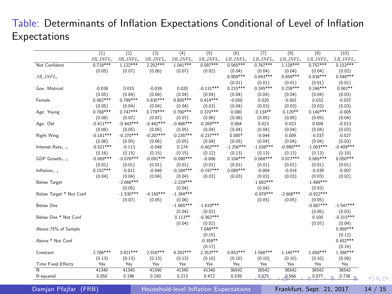#### Table: Determinants of Inflation Expectations Conditional of Level of Inflation Expectations

|                           | (1)                  | (2)                   | (3)         | (4)                    | (5)                   | (6)                  | (7)                   | (8)          | (9)                   | (10)        |
|---------------------------|----------------------|-----------------------|-------------|------------------------|-----------------------|----------------------|-----------------------|--------------|-----------------------|-------------|
|                           | $SR\_INFL_r$         | SR_INFL <sub>c</sub>  | SR_INFL,    | SR_INFL,               | SR_INFL <sub>c</sub>  | $LR\_INFL_c$         | $LR\_INFL_r$          | $LR\_INFL_r$ | $LR\_INFL_c$          | $LR$ _INFL_ |
| Not Confident             | $0.718***$           | $1.122***$            | $2.252***$  | $1.041***$             | $0.097***$            | $0.565***$           | $0.767***$            | $1.129***$   | $0.757***$            | $0.153***$  |
|                           | (0.05)               | (0.07)                | (0.06)      | (0.07)                 | (0.02)                | (0.04)               | (0.04)                | (0.04)       | (0.04)                | (0.02)      |
| $SR$ <sub>-INFL-</sub>    |                      |                       |             |                        |                       | $0.909***$           | $0.843***$            | $0.859***$   | $0.838***$            | $0.548***$  |
|                           |                      |                       |             |                        |                       | (0.01)               | (0.01)                | (0.01)       | (0.01)                | (0.01)      |
| Gov. Mistrust             | $-0.038$             | 0.015                 | $-0.039$    | 0.020                  | $-0.131***$           | $0.215***$           | $0.245***$            | $0.239***$   | $0.246***$            | $0.062**$   |
|                           | (0.05)               | (0.04)                | (0.04)      | (0.04)                 | (0.04)                | (0.04)               | (0.04)                | (0.04)       | (0.04)                | (0.03)      |
| Female                    | $0.982***$           | $0.799***$            | $0.835***$  | $0.805***$             | $0.414***$            | $-0.050$             | 0.020                 | $-0.001$     | 0.032                 | $-0.037$    |
|                           | (0.05)               | (0.04)                | (0.04)      | (0.04)                 | (0.03)                | (0.04)               | (0.03)                | (0.03)       | (0.03)                | (0.03)      |
| Age: Young                | $0.768***$           | $0.747***$            | $0.779***$  | $0.760***$             | $0.370***$            | 0.080                | $0.134**$             | $0.129**$    | $0.140***$            | $-0.005$    |
|                           | (0.08)               | (0.07)                | (0.07)      | (0.07)                 | (0.06)                | (0.06)               | (0.05)                | (0.05)       | (0.05)                | (0.04)      |
| Age: Old                  | $-0.411***$          | $-0.443***$           | $-0.442***$ | $-0.486***$            | $-0.269***$           | 0.064                | 0.023                 | 0.023        | 0.009                 | $-0.013$    |
|                           | (0.06)               | (0.05)                | (0.05)      | (0.05)                 | (0.04)                | (0.04)               | (0.04)                | (0.04)       | (0.04)                | (0.03)      |
| <b>Right Wing</b>         | $-0.181***$          | $-0.270***$           | $-0.207***$ | $-0.235***$            | $-0.237***$           | $0.085*$             | $-0.044$              | 0.009        | $-0.037$              | $-0.027$    |
|                           | (0.06)               | (0.05)                | (0.06)      | (0.05)                 | (0.04)                | (0.05)               | (0.04)                | (0.04)       | (0.04)                | (0.03)      |
| Interest $Rate_{t-1}$     | $-0.521***$          | $-0.113$              | $-0.048$    | 0.174                  | $-0.602***$           | $-1.256***$          | $-1.036***$           | $-0.990***$  | $-1.003***$           | $-0.409***$ |
|                           | (0.16)               | (0.15)                | (0.15)      | (0.15)                 | (0.12)                | (0.13)               | (0.13)                | (0.13)       | (0.13)                | (0.10)      |
| GDP $Growth_{t-1}$        | $-0.069***$          | $-0.076***$           | $-0.091***$ | $-0.090***$            | $-0.006$              | $0.104***$           | $0.068***$            | $0.077***$   | $0.065***$            | $0.050***$  |
|                           | (0.01)<br>$0.152***$ | (0.01)                | (0.01)      | (0.01)                 | (0.01)<br>$-0.197***$ | (0.01)<br>$0.089***$ | (0.01)                | (0.01)       | (0.01)                | (0.01)      |
| Inflation $t-1$           |                      | $-0.011$              | $-0.046$    | $-0.184***$            |                       |                      | $-0.004$              | $-0.014$     | $-0.039$              | $-0.007$    |
|                           | (0.04)               | (0.04)<br>$-2.666***$ | (0.04)      | (0.04)<br>$-2.229$ *** | (0.03)                | (0.03)               | (0.03)<br>$-1.683***$ | (0.03)       | (0.03)<br>$-1.488***$ | (0.02)      |
| <b>Below Target</b>       |                      | (0.05)                |             | (0.04)                 |                       |                      | (0.04)                |              | (0.03)                |             |
| Below Target * Not Conf   |                      | $-1.530***$           | $-4.150***$ | $-1.394***$            |                       |                      | $-0.979***$           | $-2.608***$  | $-0.922***$           |             |
|                           |                      | (0.07)                | (0.05)      | (0.06)                 |                       |                      | (0.05)                | (0.05)       | (0.05)                |             |
| Below One                 |                      |                       |             | $-1.865***$            | $-1.619***$           |                      |                       |              | $-0.887***$           | $-1.547***$ |
|                           |                      |                       |             | (0.04)                 | (0.02)                |                      |                       |              | (0.05)                | (0.03)      |
| Below One * Not Conf      |                      |                       |             | $0.113**$              | $-0.362***$           |                      |                       |              | 0.100                 | $-0.315***$ |
|                           |                      |                       |             | (0.04)                 | (0.02)                |                      |                       |              | (0.07)                | (0.04)      |
| Above 75% of Sample       |                      |                       |             |                        | $7.048***$            |                      |                       |              |                       | $5.959***$  |
|                           |                      |                       |             |                        | (0.15)                |                      |                       |              |                       | (0.12)      |
| Above * Not Conf          |                      |                       |             |                        | $-0.359**$            |                      |                       |              |                       | $0.452***$  |
|                           |                      |                       |             |                        | (0.17)                |                      |                       |              |                       | (0.14)      |
| Constant                  | 2.786***             | 3.921***              | $2.916***$  | 4.283***               | $2.353***$            | $0.853***$           | 1.568***              | $1.145***$   | $1.650***$            | $1.398***$  |
|                           | (0.13)               | (0.13)                | (0.13)      | (0.13)                 | (0.10)                | (0.10)               | (0.10)                | (0.10)       | (0.10)                | (0.08)      |
| <b>Time Fixed Effects</b> | Yes                  | Yes                   | Yes         | Yes                    | Yes                   | Yes                  | Yes                   | Yes          | Yes                   | Yes         |
| $\overline{N}$            | 41340                | 41340                 | 41340       | 41340                  | 41340                 | 36542                | 36542                 | 36542        | 36542                 | 36542       |
| R-squared                 | 0.050                | 0.196                 | 0.160       | 0.213                  | 0.472                 | 0.539                | 0.575                 | 0.566        | $= 0.577$             | $0.738 =$   |

Damjan Pfajfar (FRB) [Household-level Inflation Expectations](#page-0-0) Frankfurt, Sept. 21, 2017 14 / 15

<span id="page-13-0"></span>